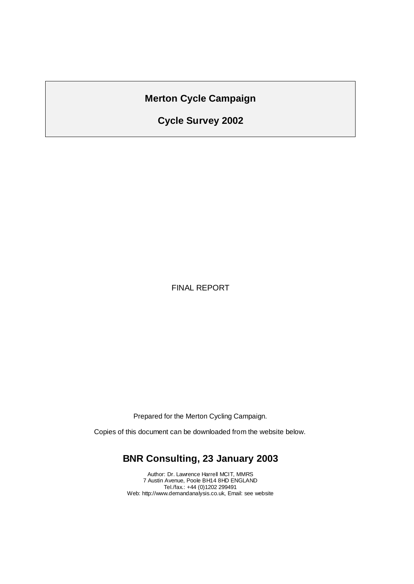## **Merton Cycle Campaign**

# **Cycle Survey 2002**

FINAL REPORT

Prepared for the Merton Cycling Campaign.

Copies of this document can be downloaded from the website below.

## **BNR Consulting, 23 January 2003**

Author: Dr. Lawrence Harrell MCIT, MMRS 7 Austin Avenue, Poole BH14 8HD ENGLAND Tel./fax.: +44 (0)1202 299491 Web: http://www.demandanalysis.co.uk, Email: see website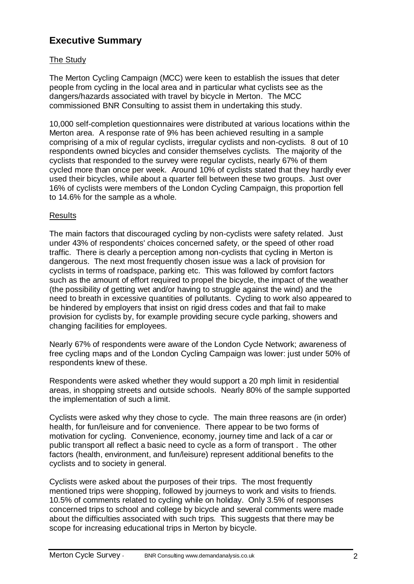## **Executive Summary**

#### The Study

The Merton Cycling Campaign (MCC) were keen to establish the issues that deter people from cycling in the local area and in particular what cyclists see as the dangers/hazards associated with travel by bicycle in Merton. The MCC commissioned BNR Consulting to assist them in undertaking this study.

10,000 self-completion questionnaires were distributed at various locations within the Merton area. A response rate of 9% has been achieved resulting in a sample comprising of a mix of regular cyclists, irregular cyclists and non-cyclists. 8 out of 10 respondents owned bicycles and consider themselves cyclists. The majority of the cyclists that responded to the survey were regular cyclists, nearly 67% of them cycled more than once per week. Around 10% of cyclists stated that they hardly ever used their bicycles, while about a quarter fell between these two groups. Just over 16% of cyclists were members of the London Cycling Campaign, this proportion fell to 14.6% for the sample as a whole.

#### Results

The main factors that discouraged cycling by non-cyclists were safety related. Just under 43% of respondents' choices concerned safety, or the speed of other road traffic. There is clearly a perception among non-cyclists that cycling in Merton is dangerous. The next most frequently chosen issue was a lack of provision for cyclists in terms of roadspace, parking etc. This was followed by comfort factors such as the amount of effort required to propel the bicycle, the impact of the weather (the possibility of getting wet and/or having to struggle against the wind) and the need to breath in excessive quantities of pollutants. Cycling to work also appeared to be hindered by employers that insist on rigid dress codes and that fail to make provision for cyclists by, for example providing secure cycle parking, showers and changing facilities for employees.

Nearly 67% of respondents were aware of the London Cycle Network; awareness of free cycling maps and of the London Cycling Campaign was lower: just under 50% of respondents knew of these.

Respondents were asked whether they would support a 20 mph limit in residential areas, in shopping streets and outside schools. Nearly 80% of the sample supported the implementation of such a limit.

Cyclists were asked why they chose to cycle. The main three reasons are (in order) health, for fun/leisure and for convenience. There appear to be two forms of motivation for cycling. Convenience, economy, journey time and lack of a car or public transport all reflect a basic need to cycle as a form of transport . The other factors (health, environment, and fun/leisure) represent additional benefits to the cyclists and to society in general.

Cyclists were asked about the purposes of their trips. The most frequently mentioned trips were shopping, followed by journeys to work and visits to friends. 10.5% of comments related to cycling while on holiday. Only 3.5% of responses concerned trips to school and college by bicycle and several comments were made about the difficulties associated with such trips. This suggests that there may be scope for increasing educational trips in Merton by bicycle.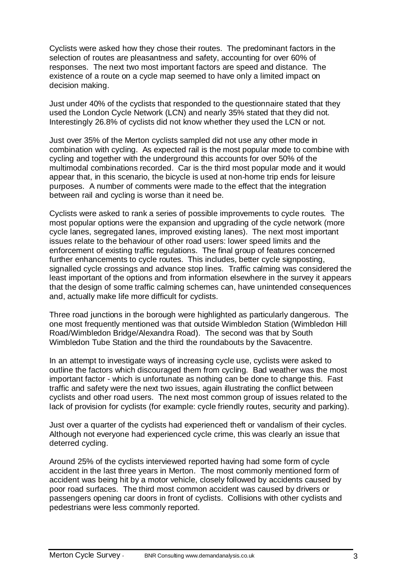Cyclists were asked how they chose their routes. The predominant factors in the selection of routes are pleasantness and safety, accounting for over 60% of responses. The next two most important factors are speed and distance. The existence of a route on a cycle map seemed to have only a limited impact on decision making.

Just under 40% of the cyclists that responded to the questionnaire stated that they used the London Cycle Network (LCN) and nearly 35% stated that they did not. Interestingly 26.8% of cyclists did not know whether they used the LCN or not.

Just over 35% of the Merton cyclists sampled did not use any other mode in combination with cycling. As expected rail is the most popular mode to combine with cycling and together with the underground this accounts for over 50% of the multimodal combinations recorded. Car is the third most popular mode and it would appear that, in this scenario, the bicycle is used at non-home trip ends for leisure purposes. A number of comments were made to the effect that the integration between rail and cycling is worse than it need be.

Cyclists were asked to rank a series of possible improvements to cycle routes. The most popular options were the expansion and upgrading of the cycle network (more cycle lanes, segregated lanes, improved existing lanes). The next most important issues relate to the behaviour of other road users: lower speed limits and the enforcement of existing traffic regulations. The final group of features concerned further enhancements to cycle routes. This includes, better cycle signposting, signalled cycle crossings and advance stop lines. Traffic calming was considered the least important of the options and from information elsewhere in the survey it appears that the design of some traffic calming schemes can, have unintended consequences and, actually make life more difficult for cyclists.

Three road junctions in the borough were highlighted as particularly dangerous. The one most frequently mentioned was that outside Wimbledon Station (Wimbledon Hill Road/Wimbledon Bridge/Alexandra Road). The second was that by South Wimbledon Tube Station and the third the roundabouts by the Savacentre.

In an attempt to investigate ways of increasing cycle use, cyclists were asked to outline the factors which discouraged them from cycling. Bad weather was the most important factor - which is unfortunate as nothing can be done to change this. Fast traffic and safety were the next two issues, again illustrating the conflict between cyclists and other road users. The next most common group of issues related to the lack of provision for cyclists (for example: cycle friendly routes, security and parking).

Just over a quarter of the cyclists had experienced theft or vandalism of their cycles. Although not everyone had experienced cycle crime, this was clearly an issue that deterred cycling.

Around 25% of the cyclists interviewed reported having had some form of cycle accident in the last three years in Merton. The most commonly mentioned form of accident was being hit by a motor vehicle, closely followed by accidents caused by poor road surfaces. The third most common accident was caused by drivers or passengers opening car doors in front of cyclists. Collisions with other cyclists and pedestrians were less commonly reported.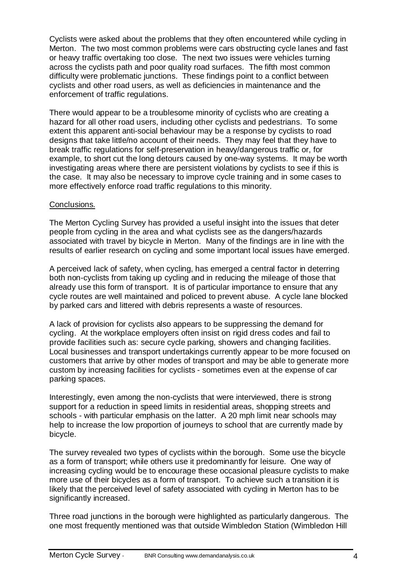Cyclists were asked about the problems that they often encountered while cycling in Merton. The two most common problems were cars obstructing cycle lanes and fast or heavy traffic overtaking too close. The next two issues were vehicles turning across the cyclists path and poor quality road surfaces. The fifth most common difficulty were problematic junctions. These findings point to a conflict between cyclists and other road users, as well as deficiencies in maintenance and the enforcement of traffic regulations.

There would appear to be a troublesome minority of cyclists who are creating a hazard for all other road users, including other cyclists and pedestrians. To some extent this apparent anti-social behaviour may be a response by cyclists to road designs that take little/no account of their needs. They may feel that they have to break traffic regulations for self-preservation in heavy/dangerous traffic or, for example, to short cut the long detours caused by one-way systems. It may be worth investigating areas where there are persistent violations by cyclists to see if this is the case. It may also be necessary to improve cycle training and in some cases to more effectively enforce road traffic regulations to this minority.

#### Conclusions.

The Merton Cycling Survey has provided a useful insight into the issues that deter people from cycling in the area and what cyclists see as the dangers/hazards associated with travel by bicycle in Merton. Many of the findings are in line with the results of earlier research on cycling and some important local issues have emerged.

A perceived lack of safety, when cycling, has emerged a central factor in deterring both non-cyclists from taking up cycling and in reducing the mileage of those that already use this form of transport. It is of particular importance to ensure that any cycle routes are well maintained and policed to prevent abuse. A cycle lane blocked by parked cars and littered with debris represents a waste of resources.

A lack of provision for cyclists also appears to be suppressing the demand for cycling. At the workplace employers often insist on rigid dress codes and fail to provide facilities such as: secure cycle parking, showers and changing facilities. Local businesses and transport undertakings currently appear to be more focused on customers that arrive by other modes of transport and may be able to generate more custom by increasing facilities for cyclists - sometimes even at the expense of car parking spaces.

Interestingly, even among the non-cyclists that were interviewed, there is strong support for a reduction in speed limits in residential areas, shopping streets and schools - with particular emphasis on the latter. A 20 mph limit near schools may help to increase the low proportion of journeys to school that are currently made by bicycle.

The survey revealed two types of cyclists within the borough. Some use the bicycle as a form of transport; while others use it predominantly for leisure. One way of increasing cycling would be to encourage these occasional pleasure cyclists to make more use of their bicycles as a form of transport. To achieve such a transition it is likely that the perceived level of safety associated with cycling in Merton has to be significantly increased.

Three road junctions in the borough were highlighted as particularly dangerous. The one most frequently mentioned was that outside Wimbledon Station (Wimbledon Hill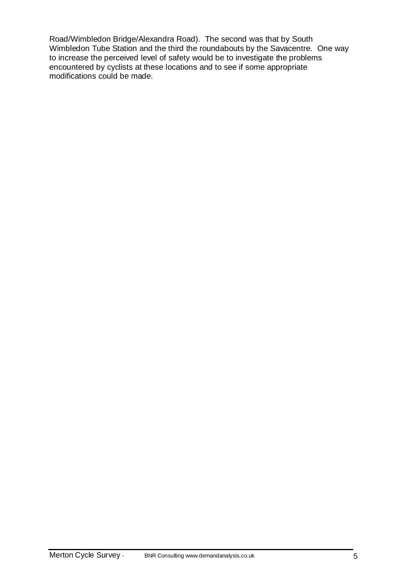Road/Wimbledon Bridge/Alexandra Road). The second was that by South Wimbledon Tube Station and the third the roundabouts by the Savacentre. One way to increase the perceived level of safety would be to investigate the problems encountered by cyclists at these locations and to see if some appropriate modifications could be made.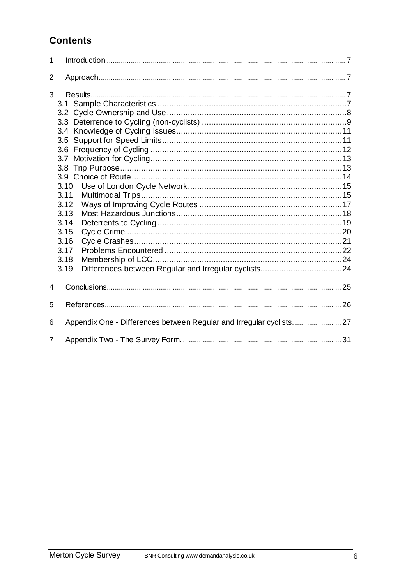# **Contents**

| 1              |                                                                                                         |  |
|----------------|---------------------------------------------------------------------------------------------------------|--|
| 2              |                                                                                                         |  |
| 3              | 3.7<br>3.8 <sup>°</sup><br>3.10<br>3.11<br>3.12<br>3.13<br>3.14<br>3.15<br>3.16<br>3.17<br>3.18<br>3.19 |  |
| 4              |                                                                                                         |  |
| 5              |                                                                                                         |  |
| 6              |                                                                                                         |  |
| $\overline{7}$ |                                                                                                         |  |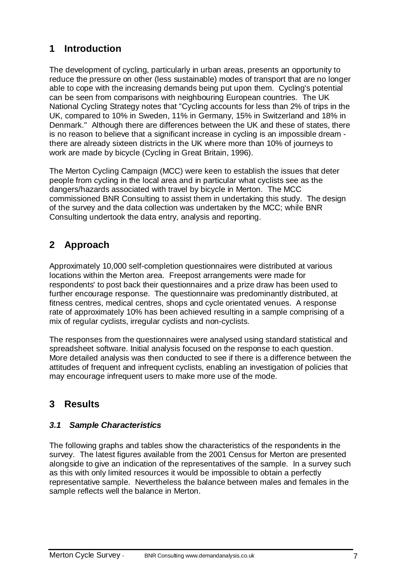# **1 Introduction**

The development of cycling, particularly in urban areas, presents an opportunity to reduce the pressure on other (less sustainable) modes of transport that are no longer able to cope with the increasing demands being put upon them. Cycling's potential can be seen from comparisons with neighbouring European countries. The UK National Cycling Strategy notes that "Cycling accounts for less than 2% of trips in the UK, compared to 10% in Sweden, 11% in Germany, 15% in Switzerland and 18% in Denmark." Although there are differences between the UK and these of states, there is no reason to believe that a significant increase in cycling is an impossible dream there are already sixteen districts in the UK where more than 10% of journeys to work are made by bicycle (Cycling in Great Britain, 1996).

The Merton Cycling Campaign (MCC) were keen to establish the issues that deter people from cycling in the local area and in particular what cyclists see as the dangers/hazards associated with travel by bicycle in Merton. The MCC commissioned BNR Consulting to assist them in undertaking this study. The design of the survey and the data collection was undertaken by the MCC; while BNR Consulting undertook the data entry, analysis and reporting.

# **2 Approach**

Approximately 10,000 self-completion questionnaires were distributed at various locations within the Merton area. Freepost arrangements were made for respondents' to post back their questionnaires and a prize draw has been used to further encourage response. The questionnaire was predominantly distributed, at fitness centres, medical centres, shops and cycle orientated venues. A response rate of approximately 10% has been achieved resulting in a sample comprising of a mix of regular cyclists, irregular cyclists and non-cyclists.

The responses from the questionnaires were analysed using standard statistical and spreadsheet software. Initial analysis focused on the response to each question. More detailed analysis was then conducted to see if there is a difference between the attitudes of frequent and infrequent cyclists, enabling an investigation of policies that may encourage infrequent users to make more use of the mode.

# **3 Results**

### *3.1 Sample Characteristics*

The following graphs and tables show the characteristics of the respondents in the survey. The latest figures available from the 2001 Census for Merton are presented alongside to give an indication of the representatives of the sample. In a survey such as this with only limited resources it would be impossible to obtain a perfectly representative sample. Nevertheless the balance between males and females in the sample reflects well the balance in Merton.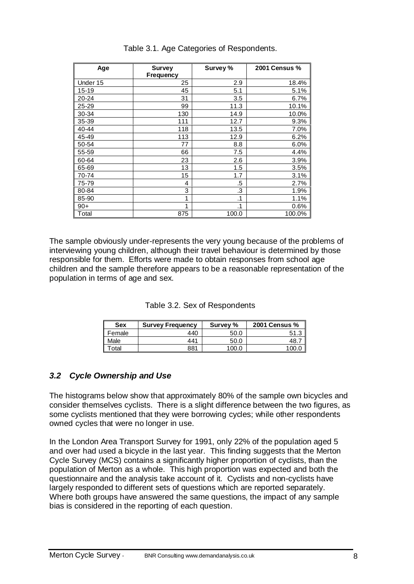| Age      | <b>Survey</b><br>Frequency | Survey % | 2001 Census % |
|----------|----------------------------|----------|---------------|
| Under 15 | 25                         | 2.9      | 18.4%         |
| 15-19    | 45                         | 5.1      | 5.1%          |
| 20-24    | 31                         | 3.5      | 6.7%          |
| 25-29    | 99                         | 11.3     | 10.1%         |
| 30-34    | 130                        | 14.9     | 10.0%         |
| 35-39    | 111                        | 12.7     | 9.3%          |
| 40-44    | 118                        | 13.5     | 7.0%          |
| 45-49    | 113                        | 12.9     | 6.2%          |
| 50-54    | 77                         | 8.8      | 6.0%          |
| 55-59    | 66                         | 7.5      | 4.4%          |
| 60-64    | 23                         | 2.6      | 3.9%          |
| 65-69    | 13                         | 1.5      | 3.5%          |
| 70-74    | 15                         | 1.7      | 3.1%          |
| 75-79    | 4                          | .5       | 2.7%          |
| 80-84    | 3                          | .3       | 1.9%          |
| 85-90    | 1                          | .1       | 1.1%          |
| $90+$    | $\mathbf{1}$               | .1       | 0.6%          |
| Total    | 875                        | 100.0    | 100.0%        |

#### Table 3.1. Age Categories of Respondents.

The sample obviously under-represents the very young because of the problems of interviewing young children, although their travel behaviour is determined by those responsible for them. Efforts were made to obtain responses from school age children and the sample therefore appears to be a reasonable representation of the population in terms of age and sex.

| Table 3.2. Sex of Respondents |
|-------------------------------|
|-------------------------------|

| <b>Sex</b> | <b>Survey Frequency</b> | Survey % | <b>2001 Census %</b> |
|------------|-------------------------|----------|----------------------|
| Female     | 440                     | 50.0     | ◠<br>51.3            |
| Male       | 441                     | 50.C     | 48                   |
| `otal      | 881                     | 100.⊾    |                      |

#### *3.2 Cycle Ownership and Use*

The histograms below show that approximately 80% of the sample own bicycles and consider themselves cyclists. There is a slight difference between the two figures, as some cyclists mentioned that they were borrowing cycles; while other respondents owned cycles that were no longer in use.

In the London Area Transport Survey for 1991, only 22% of the population aged 5 and over had used a bicycle in the last year. This finding suggests that the Merton Cycle Survey (MCS) contains a significantly higher proportion of cyclists, than the population of Merton as a whole. This high proportion was expected and both the questionnaire and the analysis take account of it. Cyclists and non-cyclists have largely responded to different sets of questions which are reported separately. Where both groups have answered the same questions, the impact of any sample bias is considered in the reporting of each question.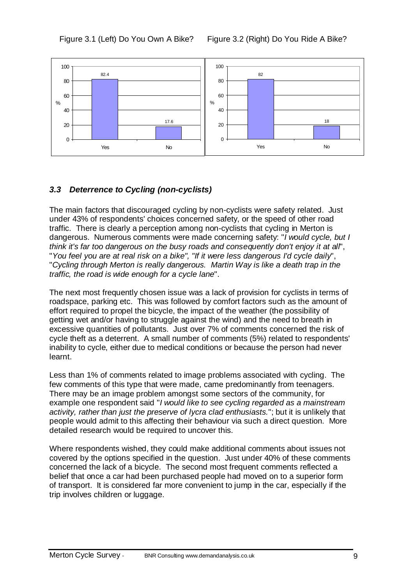



### *3.3 Deterrence to Cycling (non-cyclists)*

The main factors that discouraged cycling by non-cyclists were safety related. Just under 43% of respondents' choices concerned safety, or the speed of other road traffic. There is clearly a perception among non-cyclists that cycling in Merton is dangerous. Numerous comments were made concerning safety: "*I would cycle, but I think it's far too dangerous on the busy roads and consequently don't enjoy it at all*", "*You feel you are at real risk on a bike", "If it were less dangerous I'd cycle daily*", "*Cycling through Merton is really dangerous. Martin Way is like a death trap in the traffic, the road is wide enough for a cycle lane*".

The next most frequently chosen issue was a lack of provision for cyclists in terms of roadspace, parking etc. This was followed by comfort factors such as the amount of effort required to propel the bicycle, the impact of the weather (the possibility of getting wet and/or having to struggle against the wind) and the need to breath in excessive quantities of pollutants. Just over 7% of comments concerned the risk of cycle theft as a deterrent. A small number of comments (5%) related to respondents' inability to cycle, either due to medical conditions or because the person had never learnt.

Less than 1% of comments related to image problems associated with cycling. The few comments of this type that were made, came predominantly from teenagers. There may be an image problem amongst some sectors of the community, for example one respondent said "*I would like to see cycling regarded as a mainstream activity, rather than just the preserve of lycra clad enthusiasts.*"; but it is unlikely that people would admit to this affecting their behaviour via such a direct question. More detailed research would be required to uncover this.

Where respondents wished, they could make additional comments about issues not covered by the options specified in the question. Just under 40% of these comments concerned the lack of a bicycle. The second most frequent comments reflected a belief that once a car had been purchased people had moved on to a superior form of transport. It is considered far more convenient to jump in the car, especially if the trip involves children or luggage.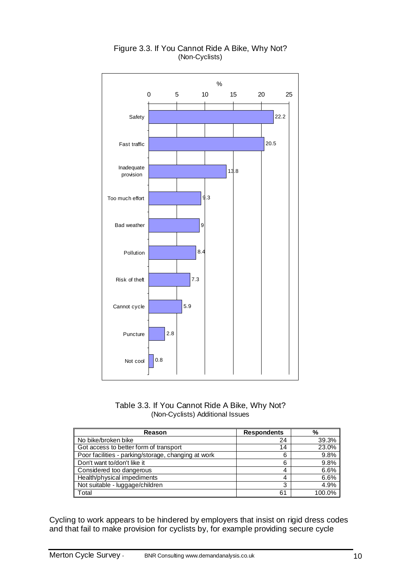

#### Figure 3.3. If You Cannot Ride A Bike, Why Not? (Non-Cyclists)



| Reason                                              | <b>Respondents</b> | %      |
|-----------------------------------------------------|--------------------|--------|
| No bike/broken bike                                 | 24                 | 39.3%  |
| Got access to better form of transport              | 14                 | 23.0%  |
| Poor facilities - parking/storage, changing at work | 6                  | 9.8%   |
| Don't want to/don't like it                         | 6                  | 9.8%   |
| Considered too dangerous                            | 4                  | 6.6%   |
| Health/physical impediments                         | 4                  | 6.6%   |
| Not suitable - luggage/children                     | 3                  | 4.9%   |
| Total                                               | 61                 | 100.0% |

Cycling to work appears to be hindered by employers that insist on rigid dress codes and that fail to make provision for cyclists by, for example providing secure cycle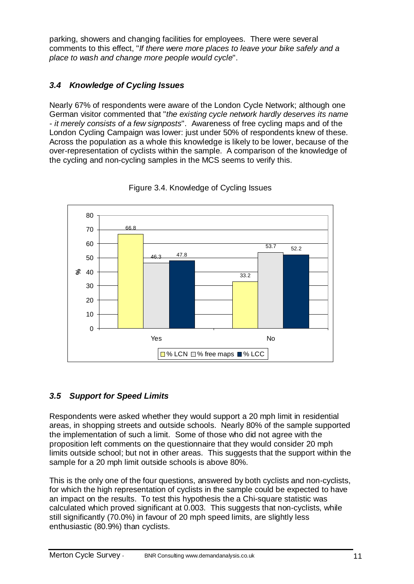parking, showers and changing facilities for employees. There were several comments to this effect, "*If there were more places to leave your bike safely and a place to wash and change more people would cycle*".

### *3.4 Knowledge of Cycling Issues*

Nearly 67% of respondents were aware of the London Cycle Network; although one German visitor commented that "*the existing cycle network hardly deserves its name - it merely consists of a few signposts*". Awareness of free cycling maps and of the London Cycling Campaign was lower: just under 50% of respondents knew of these. Across the population as a whole this knowledge is likely to be lower, because of the over-representation of cyclists within the sample. A comparison of the knowledge of the cycling and non-cycling samples in the MCS seems to verify this.



Figure 3.4. Knowledge of Cycling Issues

### *3.5 Support for Speed Limits*

Respondents were asked whether they would support a 20 mph limit in residential areas, in shopping streets and outside schools. Nearly 80% of the sample supported the implementation of such a limit. Some of those who did not agree with the proposition left comments on the questionnaire that they would consider 20 mph limits outside school; but not in other areas. This suggests that the support within the sample for a 20 mph limit outside schools is above 80%.

This is the only one of the four questions, answered by both cyclists and non-cyclists, for which the high representation of cyclists in the sample could be expected to have an impact on the results. To test this hypothesis the a Chi-square statistic was calculated which proved significant at 0.003. This suggests that non-cyclists, while still significantly (70.0%) in favour of 20 mph speed limits, are slightly less enthusiastic (80.9%) than cyclists.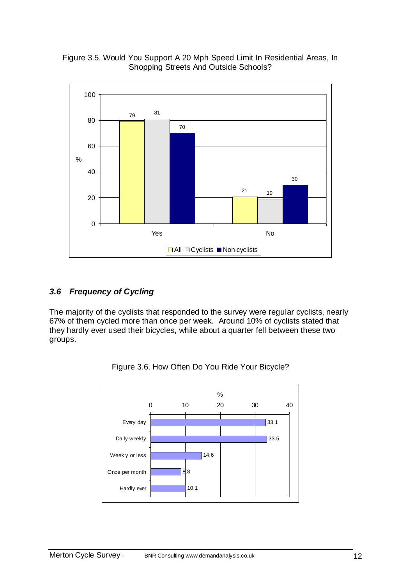



#### *3.6 Frequency of Cycling*

The majority of the cyclists that responded to the survey were regular cyclists, nearly 67% of them cycled more than once per week. Around 10% of cyclists stated that they hardly ever used their bicycles, while about a quarter fell between these two groups.



Figure 3.6. How Often Do You Ride Your Bicycle?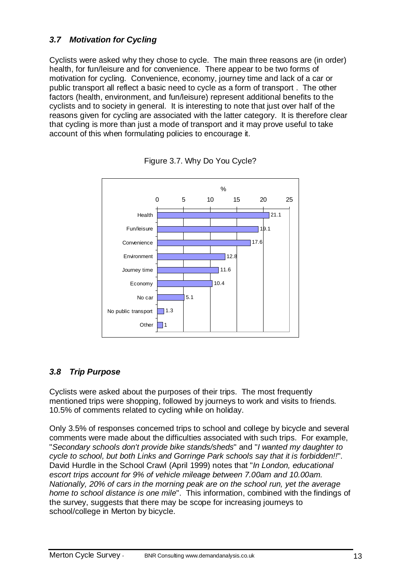### *3.7 Motivation for Cycling*

Cyclists were asked why they chose to cycle. The main three reasons are (in order) health, for fun/leisure and for convenience. There appear to be two forms of motivation for cycling. Convenience, economy, journey time and lack of a car or public transport all reflect a basic need to cycle as a form of transport . The other factors (health, environment, and fun/leisure) represent additional benefits to the cyclists and to society in general. It is interesting to note that just over half of the reasons given for cycling are associated with the latter category. It is therefore clear that cycling is more than just a mode of transport and it may prove useful to take account of this when formulating policies to encourage it.





### *3.8 Trip Purpose*

Cyclists were asked about the purposes of their trips. The most frequently mentioned trips were shopping, followed by journeys to work and visits to friends. 10.5% of comments related to cycling while on holiday.

Only 3.5% of responses concerned trips to school and college by bicycle and several comments were made about the difficulties associated with such trips. For example, "*Secondary schools don't provide bike stands/sheds*" and "*I wanted my daughter to cycle to school, but both Links and Gorringe Park schools say that it is forbidden!!*". David Hurdle in the School Crawl (April 1999) notes that "*In London, educational escort trips account for 9% of vehicle mileage between 7.00am and 10.00am. Nationally, 20% of cars in the morning peak are on the school run, yet the average home to school distance is one mile*". This information, combined with the findings of the survey, suggests that there may be scope for increasing journeys to school/college in Merton by bicycle.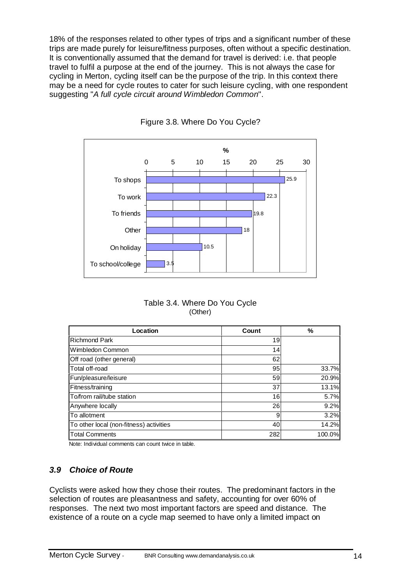18% of the responses related to other types of trips and a significant number of these trips are made purely for leisure/fitness purposes, often without a specific destination. It is conventionally assumed that the demand for travel is derived: i.e. that people travel to fulfil a purpose at the end of the journey. This is not always the case for cycling in Merton, cycling itself can be the purpose of the trip. In this context there may be a need for cycle routes to cater for such leisure cycling, with one respondent suggesting "*A full cycle circuit around Wimbledon Common*".



Figure 3.8. Where Do You Cycle?

Table 3.4. Where Do You Cycle (Other)

| Location                                | Count | %      |
|-----------------------------------------|-------|--------|
| <b>Richmond Park</b>                    | 19    |        |
| Wimbledon Common                        | 14    |        |
| Off road (other general)                | 62    |        |
| Total off-road                          | 95    | 33.7%  |
| Fun/pleasure/leisure                    | 59    | 20.9%  |
| Fitness/training                        | 37    | 13.1%  |
| To/from rail/tube station               | 16    | 5.7%   |
| Anywhere locally                        | 26    | 9.2%   |
| To allotment                            | 9     | 3.2%   |
| To other local (non-fitness) activities | 40    | 14.2%  |
| <b>Total Comments</b>                   | 282   | 100.0% |

Note: Individual comments can count twice in table.

### *3.9 Choice of Route*

Cyclists were asked how they chose their routes. The predominant factors in the selection of routes are pleasantness and safety, accounting for over 60% of responses. The next two most important factors are speed and distance. The existence of a route on a cycle map seemed to have only a limited impact on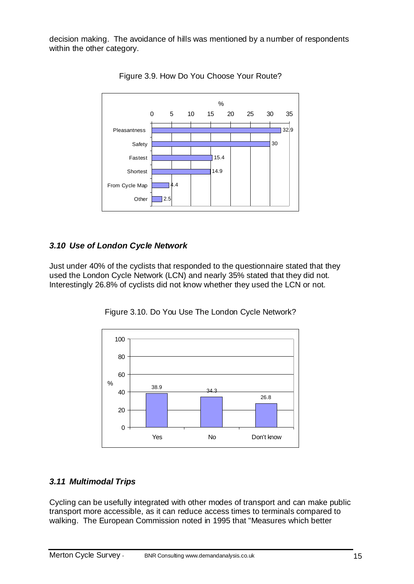decision making. The avoidance of hills was mentioned by a number of respondents within the other category.



Figure 3.9. How Do You Choose Your Route?

#### *3.10 Use of London Cycle Network*

Just under 40% of the cyclists that responded to the questionnaire stated that they used the London Cycle Network (LCN) and nearly 35% stated that they did not. Interestingly 26.8% of cyclists did not know whether they used the LCN or not.





#### *3.11 Multimodal Trips*

Cycling can be usefully integrated with other modes of transport and can make public transport more accessible, as it can reduce access times to terminals compared to walking. The European Commission noted in 1995 that "Measures which better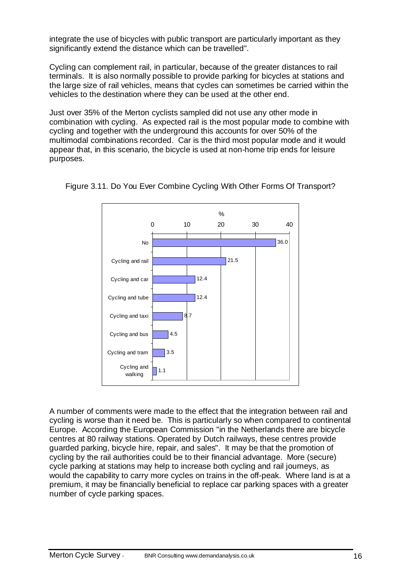integrate the use of bicycles with public transport are particularly important as they significantly extend the distance which can be travelled".

Cycling can complement rail, in particular, because of the greater distances to rail terminals. It is also normally possible to provide parking for bicycles at stations and the large size of rail vehicles, means that cycles can sometimes be carried within the vehicles to the destination where they can be used at the other end.

Just over 35% of the Merton cyclists sampled did not use any other mode in combination with cycling. As expected rail is the most popular mode to combine with cycling and together with the underground this accounts for over 50% of the multimodal combinations recorded. Car is the third most popular mode and it would appear that, in this scenario, the bicycle is used at non-home trip ends for leisure purposes.



Figure 3.11. Do You Ever Combine Cycling With Other Forms Of Transport?

A number of comments were made to the effect that the integration between rail and cycling is worse than it need be. This is particularly so when compared to continental Europe. According the European Commission "in the Netherlands there are bicycle centres at 80 railway stations. Operated by Dutch railways, these centres provide guarded parking, bicycle hire, repair, and sales". It may be that the promotion of cycling by the rail authorities could be to their financial advantage. More (secure) cycle parking at stations may help to increase both cycling and rail journeys, as would the capability to carry more cycles on trains in the off-peak. Where land is at a premium, it may be financially beneficial to replace car parking spaces with a greater number of cycle parking spaces.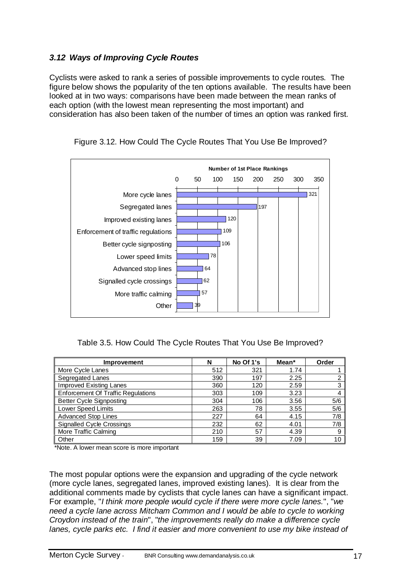### *3.12 Ways of Improving Cycle Routes*

Cyclists were asked to rank a series of possible improvements to cycle routes. The figure below shows the popularity of the ten options available. The results have been looked at in two ways: comparisons have been made between the mean ranks of each option (with the lowest mean representing the most important) and consideration has also been taken of the number of times an option was ranked first.



Figure 3.12. How Could The Cycle Routes That You Use Be Improved?

#### Table 3.5. How Could The Cycle Routes That You Use Be Improved?

| <b>Improvement</b>                        | N   | No Of 1's | Mean* | Order |
|-------------------------------------------|-----|-----------|-------|-------|
| More Cycle Lanes                          | 512 | 321       | 1.74  |       |
| Segregated Lanes                          | 390 | 197       | 2.25  | າ     |
| <b>Improved Existing Lanes</b>            | 360 | 120       | 2.59  | 3     |
| <b>Enforcement Of Traffic Regulations</b> | 303 | 109       | 3.23  | 4     |
| <b>Better Cycle Signposting</b>           | 304 | 106       | 3.56  | 5/6   |
| Lower Speed Limits                        | 263 | 78        | 3.55  | 5/6   |
| <b>Advanced Stop Lines</b>                | 227 | 64        | 4.15  | 7/8   |
| <b>Signalled Cycle Crossings</b>          | 232 | 62        | 4.01  | 7/8   |
| More Traffic Calming                      | 210 | 57        | 4.39  | 9     |
| Other                                     | 159 | 39        | 7.09  | 10    |

\*Note. A lower mean score is more important

The most popular options were the expansion and upgrading of the cycle network (more cycle lanes, segregated lanes, improved existing lanes). It is clear from the additional comments made by cyclists that cycle lanes can have a significant impact. For example, "*I think more people would cycle if there were more cycle lanes.*", "*we need a cycle lane across Mitcham Common and I would be able to cycle to working Croydon instead of the train*", "*the improvements really do make a difference cycle lanes, cycle parks etc. I find it easier and more convenient to use my bike instead of*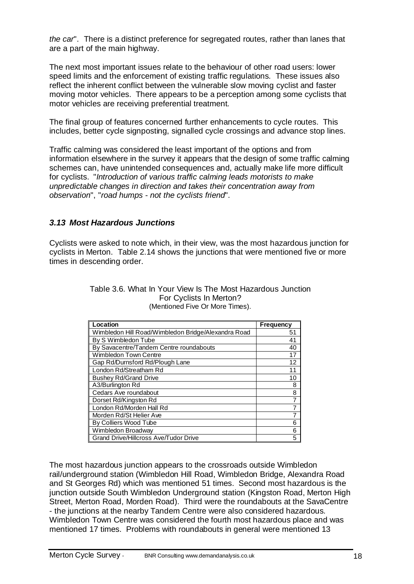*the car*". There is a distinct preference for segregated routes, rather than lanes that are a part of the main highway.

The next most important issues relate to the behaviour of other road users: lower speed limits and the enforcement of existing traffic regulations. These issues also reflect the inherent conflict between the vulnerable slow moving cyclist and faster moving motor vehicles. There appears to be a perception among some cyclists that motor vehicles are receiving preferential treatment.

The final group of features concerned further enhancements to cycle routes. This includes, better cycle signposting, signalled cycle crossings and advance stop lines.

Traffic calming was considered the least important of the options and from information elsewhere in the survey it appears that the design of some traffic calming schemes can, have unintended consequences and, actually make life more difficult for cyclists. "*Introduction of various traffic calming leads motorists to make unpredictable changes in direction and takes their concentration away from observation*", "*road humps - not the cyclists friend*".

#### *3.13 Most Hazardous Junctions*

Cyclists were asked to note which, in their view, was the most hazardous junction for cyclists in Merton. Table 2.14 shows the junctions that were mentioned five or more times in descending order.

| Location                                            | Frequency |
|-----------------------------------------------------|-----------|
| Wimbledon Hill Road/Wimbledon Bridge/Alexandra Road | 51        |
| By S Wimbledon Tube                                 | 41        |
| By Savacentre/Tandem Centre roundabouts             | 40        |
| Wimbledon Town Centre                               | 17        |
| Gap Rd/Durnsford Rd/Plough Lane                     | 12        |
| London Rd/Streatham Rd                              | 11        |
| <b>Bushey Rd/Grand Drive</b>                        | 10        |
| A3/Burlington Rd                                    | 8         |
| Cedars Ave roundabout                               | 8         |
| Dorset Rd/Kingston Rd                               | 7         |
| London Rd/Morden Hall Rd                            |           |
| Morden Rd/St Helier Ave                             |           |
| By Colliers Wood Tube                               | 6         |
| Wimbledon Broadway                                  | 6         |
| Grand Drive/Hillcross Ave/Tudor Drive               | 5         |

Table 3.6. What In Your View Is The Most Hazardous Junction For Cyclists In Merton? (Mentioned Five Or More Times).

The most hazardous junction appears to the crossroads outside Wimbledon rail/underground station (Wimbledon Hill Road, Wimbledon Bridge, Alexandra Road and St Georges Rd) which was mentioned 51 times. Second most hazardous is the junction outside South Wimbledon Underground station (Kingston Road, Merton High Street, Merton Road, Morden Road). Third were the roundabouts at the SavaCentre - the junctions at the nearby Tandem Centre were also considered hazardous. Wimbledon Town Centre was considered the fourth most hazardous place and was mentioned 17 times. Problems with roundabouts in general were mentioned 13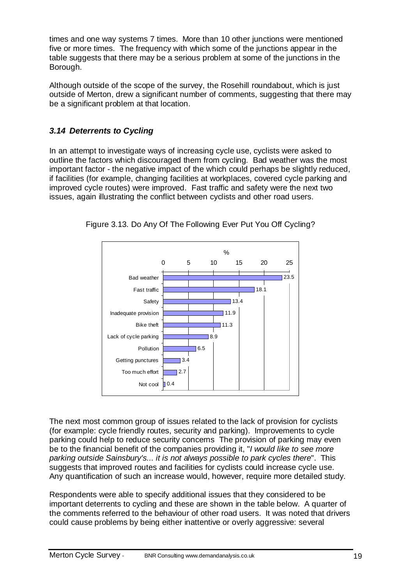times and one way systems 7 times. More than 10 other junctions were mentioned five or more times. The frequency with which some of the junctions appear in the table suggests that there may be a serious problem at some of the junctions in the Borough.

Although outside of the scope of the survey, the Rosehill roundabout, which is just outside of Merton, drew a significant number of comments, suggesting that there may be a significant problem at that location.

### *3.14 Deterrents to Cycling*

In an attempt to investigate ways of increasing cycle use, cyclists were asked to outline the factors which discouraged them from cycling. Bad weather was the most important factor - the negative impact of the which could perhaps be slightly reduced, if facilities (for example, changing facilities at workplaces, covered cycle parking and improved cycle routes) were improved. Fast traffic and safety were the next two issues, again illustrating the conflict between cyclists and other road users.



Figure 3.13. Do Any Of The Following Ever Put You Off Cycling?

The next most common group of issues related to the lack of provision for cyclists (for example: cycle friendly routes, security and parking). Improvements to cycle parking could help to reduce security concerns The provision of parking may even be to the financial benefit of the companies providing it, "*I would like to see more parking outside Sainsbury's... it is not always possible to park cycles there*". This suggests that improved routes and facilities for cyclists could increase cycle use. Any quantification of such an increase would, however, require more detailed study.

Respondents were able to specify additional issues that they considered to be important deterrents to cycling and these are shown in the table below. A quarter of the comments referred to the behaviour of other road users. It was noted that drivers could cause problems by being either inattentive or overly aggressive: several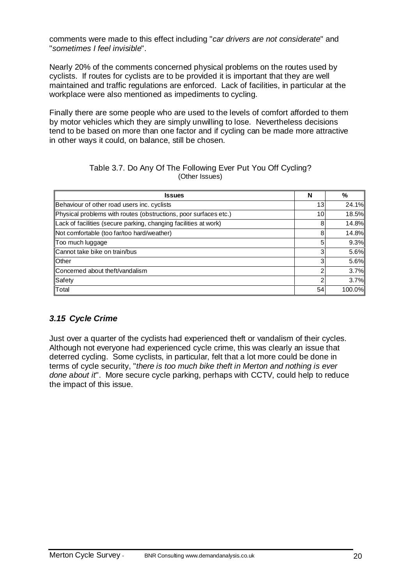comments were made to this effect including "*car drivers are not considerate*" and "*sometimes I feel invisible*".

Nearly 20% of the comments concerned physical problems on the routes used by cyclists. If routes for cyclists are to be provided it is important that they are well maintained and traffic regulations are enforced. Lack of facilities, in particular at the workplace were also mentioned as impediments to cycling.

Finally there are some people who are used to the levels of comfort afforded to them by motor vehicles which they are simply unwilling to lose. Nevertheless decisions tend to be based on more than one factor and if cycling can be made more attractive in other ways it could, on balance, still be chosen.

#### Table 3.7. Do Any Of The Following Ever Put You Off Cycling? (Other Issues)

| <b>Issues</b>                                                    | N  | %      |
|------------------------------------------------------------------|----|--------|
| Behaviour of other road users inc. cyclists                      | 13 | 24.1%  |
| Physical problems with routes (obstructions, poor surfaces etc.) | 10 | 18.5%  |
| Lack of facilities (secure parking, changing facilities at work) | 8  | 14.8%  |
| Not comfortable (too far/too hard/weather)                       | 8  | 14.8%  |
| Too much luggage                                                 | 5  | 9.3%   |
| Cannot take bike on train/bus                                    | 3  | 5.6%   |
| Other                                                            | 3  | 5.6%   |
| Concerned about theft/vandalism                                  | 2  | 3.7%   |
| Safety                                                           | 2  | 3.7%   |
| Total                                                            | 54 | 100.0% |

#### *3.15 Cycle Crime*

Just over a quarter of the cyclists had experienced theft or vandalism of their cycles. Although not everyone had experienced cycle crime, this was clearly an issue that deterred cycling. Some cyclists, in particular, felt that a lot more could be done in terms of cycle security, "*there is too much bike theft in Merton and nothing is ever done about it*". More secure cycle parking, perhaps with CCTV, could help to reduce the impact of this issue.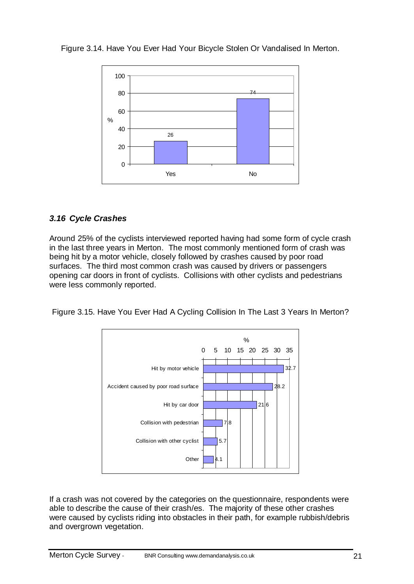

Figure 3.14. Have You Ever Had Your Bicycle Stolen Or Vandalised In Merton.

### *3.16 Cycle Crashes*

Around 25% of the cyclists interviewed reported having had some form of cycle crash in the last three years in Merton. The most commonly mentioned form of crash was being hit by a motor vehicle, closely followed by crashes caused by poor road surfaces. The third most common crash was caused by drivers or passengers opening car doors in front of cyclists. Collisions with other cyclists and pedestrians were less commonly reported.

Figure 3.15. Have You Ever Had A Cycling Collision In The Last 3 Years In Merton?



If a crash was not covered by the categories on the questionnaire, respondents were able to describe the cause of their crash/es. The majority of these other crashes were caused by cyclists riding into obstacles in their path, for example rubbish/debris and overgrown vegetation.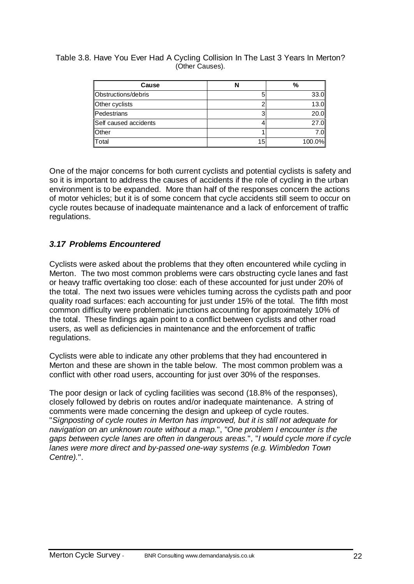Table 3.8. Have You Ever Had A Cycling Collision In The Last 3 Years In Merton? (Other Causes).

| Cause                 |    | %      |
|-----------------------|----|--------|
| Obstructions/debris   |    | 33.0   |
| Other cyclists        |    | 13.0   |
| Pedestrians           |    | 20.0   |
| Self caused accidents |    | 27.0   |
| Other                 |    | 7.0    |
| Total                 | 15 | 100.0% |

One of the major concerns for both current cyclists and potential cyclists is safety and so it is important to address the causes of accidents if the role of cycling in the urban environment is to be expanded. More than half of the responses concern the actions of motor vehicles; but it is of some concern that cycle accidents still seem to occur on cycle routes because of inadequate maintenance and a lack of enforcement of traffic regulations.

#### *3.17 Problems Encountered*

Cyclists were asked about the problems that they often encountered while cycling in Merton. The two most common problems were cars obstructing cycle lanes and fast or heavy traffic overtaking too close: each of these accounted for just under 20% of the total. The next two issues were vehicles turning across the cyclists path and poor quality road surfaces: each accounting for just under 15% of the total. The fifth most common difficulty were problematic junctions accounting for approximately 10% of the total. These findings again point to a conflict between cyclists and other road users, as well as deficiencies in maintenance and the enforcement of traffic regulations.

Cyclists were able to indicate any other problems that they had encountered in Merton and these are shown in the table below. The most common problem was a conflict with other road users, accounting for just over 30% of the responses.

The poor design or lack of cycling facilities was second (18.8% of the responses), closely followed by debris on routes and/or inadequate maintenance. A string of comments were made concerning the design and upkeep of cycle routes. "*Signposting of cycle routes in Merton has improved, but it is still not adequate for navigation on an unknown route without a map.*", "*One problem I encounter is the gaps between cycle lanes are often in dangerous areas.*", "*I would cycle more if cycle lanes were more direct and by-passed one-way systems (e.g. Wimbledon Town Centre).*".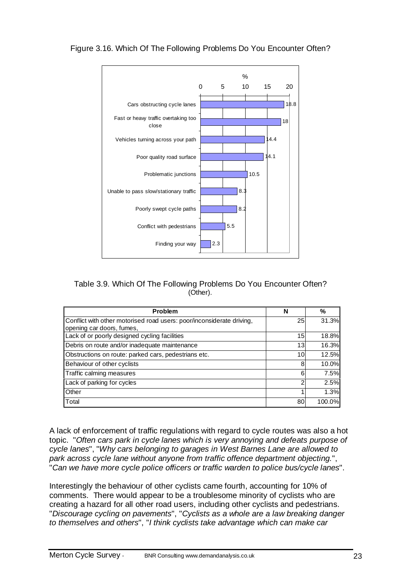

Figure 3.16. Which Of The Following Problems Do You Encounter Often?

#### Table 3.9. Which Of The Following Problems Do You Encounter Often? (Other).

| Problem                                                                                            | N  | ℅      |
|----------------------------------------------------------------------------------------------------|----|--------|
| Conflict with other motorised road users: poor/inconsiderate driving,<br>opening car doors, fumes, | 25 | 31.3%  |
| Lack of or poorly designed cycling facilities                                                      | 15 | 18.8%  |
| Debris on route and/or inadequate maintenance                                                      | 13 | 16.3%  |
| Obstructions on route: parked cars, pedestrians etc.                                               | 10 | 12.5%  |
| Behaviour of other cyclists                                                                        | 8  | 10.0%  |
| Traffic calming measures                                                                           | 6  | 7.5%   |
| Lack of parking for cycles                                                                         | 2  | 2.5%   |
| Other                                                                                              |    | 1.3%   |
| Total                                                                                              | 80 | 100.0% |

A lack of enforcement of traffic regulations with regard to cycle routes was also a hot topic. "*Often cars park in cycle lanes which is very annoying and defeats purpose of cycle lanes*", "*Why cars belonging to garages in West Barnes Lane are allowed to park across cycle lane without anyone from traffic offence department objecting.*", "*Can we have more cycle police officers or traffic warden to police bus/cycle lanes*".

Interestingly the behaviour of other cyclists came fourth, accounting for 10% of comments. There would appear to be a troublesome minority of cyclists who are creating a hazard for all other road users, including other cyclists and pedestrians. "*Discourage cycling on pavements*", "*Cyclists as a whole are a law breaking danger to themselves and others*", "*I think cyclists take advantage which can make car*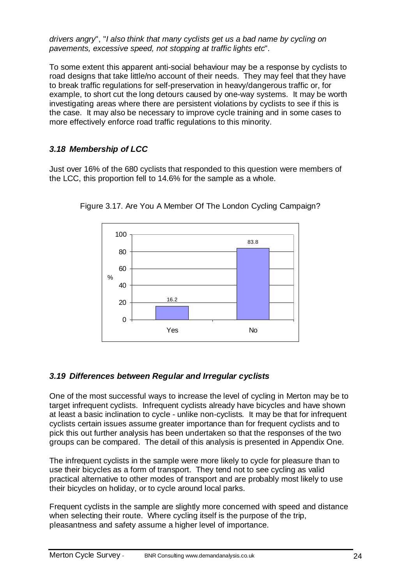*drivers angry*", "*I also think that many cyclists get us a bad name by cycling on pavements, excessive speed, not stopping at traffic lights etc*".

To some extent this apparent anti-social behaviour may be a response by cyclists to road designs that take little/no account of their needs. They may feel that they have to break traffic regulations for self-preservation in heavy/dangerous traffic or, for example, to short cut the long detours caused by one-way systems. It may be worth investigating areas where there are persistent violations by cyclists to see if this is the case. It may also be necessary to improve cycle training and in some cases to more effectively enforce road traffic regulations to this minority.

### *3.18 Membership of LCC*

Just over 16% of the 680 cyclists that responded to this question were members of the LCC, this proportion fell to 14.6% for the sample as a whole.



Figure 3.17. Are You A Member Of The London Cycling Campaign?

#### *3.19 Differences between Regular and Irregular cyclists*

One of the most successful ways to increase the level of cycling in Merton may be to target infrequent cyclists. Infrequent cyclists already have bicycles and have shown at least a basic inclination to cycle - unlike non-cyclists. It may be that for infrequent cyclists certain issues assume greater importance than for frequent cyclists and to pick this out further analysis has been undertaken so that the responses of the two groups can be compared. The detail of this analysis is presented in Appendix One.

The infrequent cyclists in the sample were more likely to cycle for pleasure than to use their bicycles as a form of transport. They tend not to see cycling as valid practical alternative to other modes of transport and are probably most likely to use their bicycles on holiday, or to cycle around local parks.

Frequent cyclists in the sample are slightly more concerned with speed and distance when selecting their route. Where cycling itself is the purpose of the trip, pleasantness and safety assume a higher level of importance.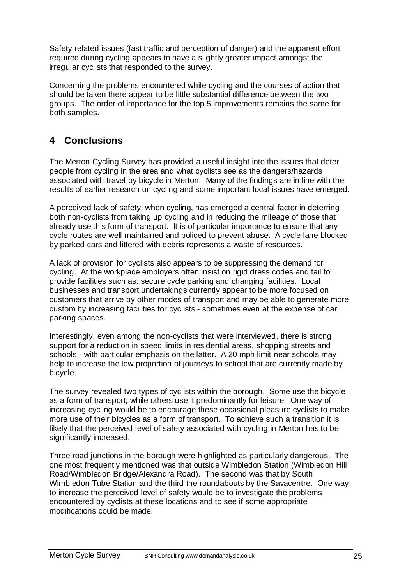Safety related issues (fast traffic and perception of danger) and the apparent effort required during cycling appears to have a slightly greater impact amongst the irregular cyclists that responded to the survey.

Concerning the problems encountered while cycling and the courses of action that should be taken there appear to be little substantial difference between the two groups. The order of importance for the top 5 improvements remains the same for both samples.

# **4 Conclusions**

The Merton Cycling Survey has provided a useful insight into the issues that deter people from cycling in the area and what cyclists see as the dangers/hazards associated with travel by bicycle in Merton. Many of the findings are in line with the results of earlier research on cycling and some important local issues have emerged.

A perceived lack of safety, when cycling, has emerged a central factor in deterring both non-cyclists from taking up cycling and in reducing the mileage of those that already use this form of transport. It is of particular importance to ensure that any cycle routes are well maintained and policed to prevent abuse. A cycle lane blocked by parked cars and littered with debris represents a waste of resources.

A lack of provision for cyclists also appears to be suppressing the demand for cycling. At the workplace employers often insist on rigid dress codes and fail to provide facilities such as: secure cycle parking and changing facilities. Local businesses and transport undertakings currently appear to be more focused on customers that arrive by other modes of transport and may be able to generate more custom by increasing facilities for cyclists - sometimes even at the expense of car parking spaces.

Interestingly, even among the non-cyclists that were interviewed, there is strong support for a reduction in speed limits in residential areas, shopping streets and schools - with particular emphasis on the latter. A 20 mph limit near schools may help to increase the low proportion of journeys to school that are currently made by bicycle.

The survey revealed two types of cyclists within the borough. Some use the bicycle as a form of transport; while others use it predominantly for leisure. One way of increasing cycling would be to encourage these occasional pleasure cyclists to make more use of their bicycles as a form of transport. To achieve such a transition it is likely that the perceived level of safety associated with cycling in Merton has to be significantly increased.

Three road junctions in the borough were highlighted as particularly dangerous. The one most frequently mentioned was that outside Wimbledon Station (Wimbledon Hill Road/Wimbledon Bridge/Alexandra Road). The second was that by South Wimbledon Tube Station and the third the roundabouts by the Savacentre. One way to increase the perceived level of safety would be to investigate the problems encountered by cyclists at these locations and to see if some appropriate modifications could be made.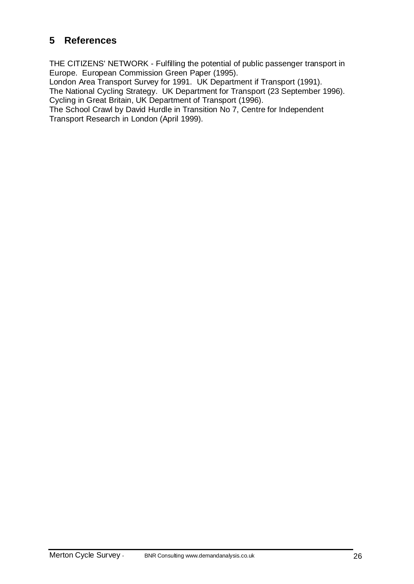# **5 References**

THE CITIZENS' NETWORK - Fulfilling the potential of public passenger transport in Europe. European Commission Green Paper (1995).

London Area Transport Survey for 1991. UK Department if Transport (1991). The National Cycling Strategy. UK Department for Transport (23 September 1996). Cycling in Great Britain, UK Department of Transport (1996).

The School Crawl by David Hurdle in Transition No 7, Centre for Independent Transport Research in London (April 1999).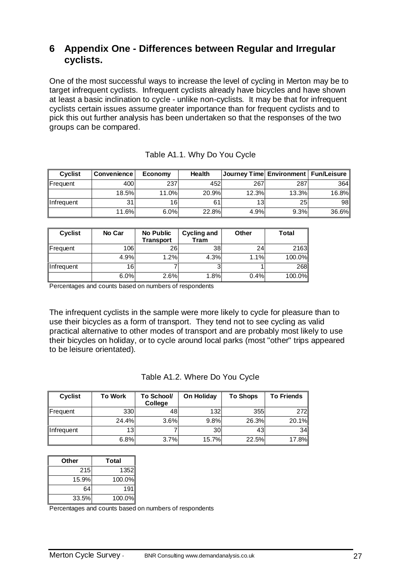### **6 Appendix One - Differences between Regular and Irregular cyclists.**

One of the most successful ways to increase the level of cycling in Merton may be to target infrequent cyclists. Infrequent cyclists already have bicycles and have shown at least a basic inclination to cycle - unlike non-cyclists. It may be that for infrequent cyclists certain issues assume greater importance than for frequent cyclists and to pick this out further analysis has been undertaken so that the responses of the two groups can be compared.

| <b>Cyclist</b> | <b>Convenience</b> | Economy | <b>Health</b> | Journey Time  Environment   Fun/Leisure |                 |       |
|----------------|--------------------|---------|---------------|-----------------------------------------|-----------------|-------|
| Frequent       | 400                | 237     | 452           | 267                                     | 287             | 364I  |
|                | 18.5%              | 11.0%l  | 20.9%         | 12.3%                                   | 13.3%           | 16.8% |
| Infrequent     | 31                 | 16      |               | 13                                      | 25 <sub>1</sub> | 98 I  |
|                | 11.6%              | 6.0%    | 22.8%         | 4.9%                                    | 9.3%            | 36.6% |

| <b>Cyclist</b> | No Car | No Public<br><b>Transport</b> | Cycling and<br>Tram | Other | <b>Total</b> |
|----------------|--------|-------------------------------|---------------------|-------|--------------|
| Frequent       | 106    | 26                            | 38                  | 24    | 2163         |
|                | 4.9%   | 1.2%                          | 4.3%                | 1.1%  | 100.0%       |
| Infrequent     | 16     |                               |                     |       | <b>268</b>   |
|                | 6.0%   | 2.6%                          | 1.8%                | 0.4%  | 100.0%       |

Percentages and counts based on numbers of respondents

The infrequent cyclists in the sample were more likely to cycle for pleasure than to use their bicycles as a form of transport. They tend not to see cycling as valid practical alternative to other modes of transport and are probably most likely to use their bicycles on holiday, or to cycle around local parks (most "other" trips appeared to be leisure orientated).

|  |  | Table A1.2. Where Do You Cycle |
|--|--|--------------------------------|
|--|--|--------------------------------|

| <b>Cyclist</b> | <b>To Work</b> | To School/<br><b>College</b> | On Holiday | <b>To Shops</b> | <b>To Friends</b> |
|----------------|----------------|------------------------------|------------|-----------------|-------------------|
| Frequent       | 330            | 48                           | 132        | 355             | 272               |
|                | 24.4%          | 3.6%                         | 9.8%       | 26.3%           | 20.1%             |
| Infrequent     | 131            |                              | 30         | 43              | 34                |
|                | 6.8%           | 3.7%                         | 15.7%      | 22.5%           | 17.8%             |

| Other | Total  |
|-------|--------|
| 215   | 1352   |
| 15.9% | 100.0% |
| 64    | 191    |
| 33.5% | 100.0% |

Percentages and counts based on numbers of respondents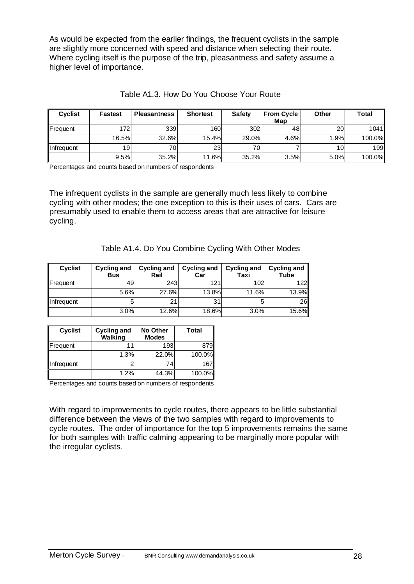As would be expected from the earlier findings, the frequent cyclists in the sample are slightly more concerned with speed and distance when selecting their route. Where cycling itself is the purpose of the trip, pleasantness and safety assume a higher level of importance.

| <b>Cyclist</b>    | <b>Fastest</b> | <b>Pleasantness</b> | <b>Shortest</b> | <b>Safety</b> | <b>From Cycle</b> | Other     | Total  |
|-------------------|----------------|---------------------|-----------------|---------------|-------------------|-----------|--------|
|                   |                |                     |                 |               | Map               |           |        |
| Frequent          | 172            | 339                 | 160             | 302           | 48                | <b>20</b> | 1041   |
|                   | 16.5%          | 32.6%               | 15.4%           | 29.0%         | 4.6%              | 1.9%      | 100.0% |
| <b>Infrequent</b> | 19             | 70                  | 23 <sup>1</sup> | 70            |                   | 10        | 199    |
|                   | 9.5%           | 35.2%               | 11.6%           | 35.2%         | 3.5%              | 5.0%      | 100.0% |

Table A1.3. How Do You Choose Your Route

Percentages and counts based on numbers of respondents

The infrequent cyclists in the sample are generally much less likely to combine cycling with other modes; the one exception to this is their uses of cars. Cars are presumably used to enable them to access areas that are attractive for leisure cycling.

| Table A1.4. Do You Combine Cycling With Other Modes |  |
|-----------------------------------------------------|--|
|-----------------------------------------------------|--|

| <b>Cyclist</b> | <b>Cycling and</b><br><b>Bus</b> | <b>Cycling and</b><br>Rail | <b>Cycling and</b><br>Car | <b>Cycling and</b><br>Taxi | <b>Cycling and</b><br>Tube |
|----------------|----------------------------------|----------------------------|---------------------------|----------------------------|----------------------------|
| Frequent       | 49                               | 243                        | 121                       | 102                        | 1221                       |
|                | 5.6%                             | 27.6%                      | 13.8%                     | 11.6%                      | 13.9%                      |
| Infrequent     | 5                                | 21                         | 31                        |                            | 26                         |
|                | 3.0%                             | <b>12.6%</b>               | 18.6%                     | 3.0%                       | 15.6%                      |

| <b>Cyclist</b> | <b>Cycling and</b><br><b>Walking</b> | No Other<br><b>Modes</b> | Total  |
|----------------|--------------------------------------|--------------------------|--------|
| Frequent       |                                      | 193                      | 879    |
|                | 1.3%                                 | 22.0%                    | 100.0% |
| Infrequent     | 2                                    | 74                       | 167    |
|                | 1.2%                                 | 44.3%                    | 100.0% |

Percentages and counts based on numbers of respondents

With regard to improvements to cycle routes, there appears to be little substantial difference between the views of the two samples with regard to improvements to cycle routes. The order of importance for the top 5 improvements remains the same for both samples with traffic calming appearing to be marginally more popular with the irregular cyclists.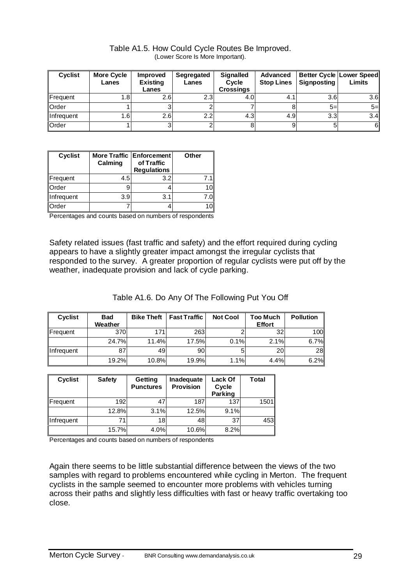| <b>Cyclist</b> | <b>More Cycle</b><br>Lanes | <b>Improved</b><br><b>Existing</b><br>Lanes | Segregated<br>Lanes | <b>Signalled</b><br><b>Cycle</b><br><b>Crossings</b> | Advanced<br><b>Stop Lines</b> | Signposting | <b>Better Cycle Lower Speed</b><br>Limits |
|----------------|----------------------------|---------------------------------------------|---------------------|------------------------------------------------------|-------------------------------|-------------|-------------------------------------------|
| Frequent       | .8                         | 2.6                                         | 2.3                 | 4.0                                                  | 4.1                           | 3.6         | 3.6                                       |
| Order          |                            |                                             |                     |                                                      |                               | $5=$        | $5=$                                      |
| Infrequent     | $.6\,$                     | 2.6                                         | 2.2 <sub>1</sub>    | 4.3                                                  | 4.9                           | 3.3         | 3.4                                       |
| Order          |                            |                                             |                     |                                                      | 9                             |             | 6                                         |

Table A1.5. How Could Cycle Routes Be Improved. (Lower Score Is More Important).

| <b>Cyclist</b> | Calming | More Traffic Enforcement<br>of Traffic<br><b>Regulations</b> | Other |
|----------------|---------|--------------------------------------------------------------|-------|
| Frequent       | 4.5     | 3.2                                                          | 7.1   |
| Order          |         |                                                              | 10    |
| Infrequent     | 3.9     | 3.1                                                          | 7.0   |
| Order          |         |                                                              | 10    |

Percentages and counts based on numbers of respondents

Safety related issues (fast traffic and safety) and the effort required during cycling appears to have a slightly greater impact amongst the irregular cyclists that responded to the survey. A greater proportion of regular cyclists were put off by the weather, inadequate provision and lack of cycle parking.

|  |  | Table A1.6. Do Any Of The Following Put You Off |  |
|--|--|-------------------------------------------------|--|
|  |  |                                                 |  |

| <b>Cyclist</b> | <b>Bad</b><br>Weather | <b>Bike Theft</b> | <b>Fast Traffic</b> | <b>Not Cool</b> | <b>Too Much</b><br><b>Effort</b> | <b>Pollution</b> |
|----------------|-----------------------|-------------------|---------------------|-----------------|----------------------------------|------------------|
| Frequent       | 370                   | 171               | 263                 |                 | 32                               | 100              |
|                | 24.7%                 | 11.4%             | 17.5%               | 0.1%            | 2.1%                             | 6.7%             |
| Infrequent     | 87                    | 49                | 90                  |                 | 20                               | 28               |
|                | 19.2%                 | 10.8%             | 19.9%               | 1.1%            | 4.4%                             | 6.2%             |

| <b>Cyclist</b> | <b>Safety</b> | Getting<br><b>Punctures</b> | Inadequate<br><b>Provision</b> | Lack Of<br>Cycle<br>Parking | Total |
|----------------|---------------|-----------------------------|--------------------------------|-----------------------------|-------|
| Frequent       | 192           |                             | 187                            | 137                         | 1501  |
|                | 12.8%         | 3.1%                        | 12.5%                          | 9.1%                        |       |
| Infrequent     | 71            | 18                          | 48                             | 37                          | 453   |
|                | 15.7%         | 4.0%                        | 10.6%                          | 8.2%                        |       |

Percentages and counts based on numbers of respondents

Again there seems to be little substantial difference between the views of the two samples with regard to problems encountered while cycling in Merton. The frequent cyclists in the sample seemed to encounter more problems with vehicles turning across their paths and slightly less difficulties with fast or heavy traffic overtaking too close.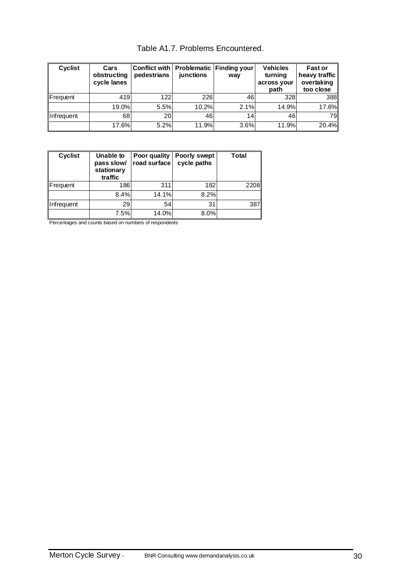| Cyclist    | Cars<br>obstructing<br>cycle lanes | Conflict with<br>pedestrians | junctions | Problematic Finding your<br>way | <b>Vehicles</b><br>turning<br>across your<br>path | Fast or<br>heavy traffic<br>overtaking<br>too close |
|------------|------------------------------------|------------------------------|-----------|---------------------------------|---------------------------------------------------|-----------------------------------------------------|
| Frequent   | 419                                | 122                          | 226       | 46                              | 328                                               | 388                                                 |
|            | 19.0%                              | 5.5%                         | 10.2%     | 2.1%                            | 14.9%                                             | 17.6%                                               |
| Infrequent | 68                                 | <b>20</b>                    | 46        | 14 <sub>1</sub>                 | 46                                                | <b>79</b>                                           |
|            | 17.6%                              | 5.2%                         | 11.9%     | 3.6%                            | 11.9%                                             | 20.4%                                               |

Table A1.7. Problems Encountered.

| <b>Cyclist</b> | Unable to<br>pass slow/<br>stationary<br>traffic | Poor quality<br>road surface | Poorly swept<br>cycle paths | <b>Total</b> |
|----------------|--------------------------------------------------|------------------------------|-----------------------------|--------------|
| Frequent       | 186                                              | 311                          | 182                         | 2208         |
|                | 8.4%                                             | 14.1%                        | 8.2%                        |              |
| Infrequent     | 29                                               | 54                           | 31                          | 387          |
|                | 7.5%                                             | 14.0%                        | 8.0%                        |              |

Percentages and counts based on numbers of respondents